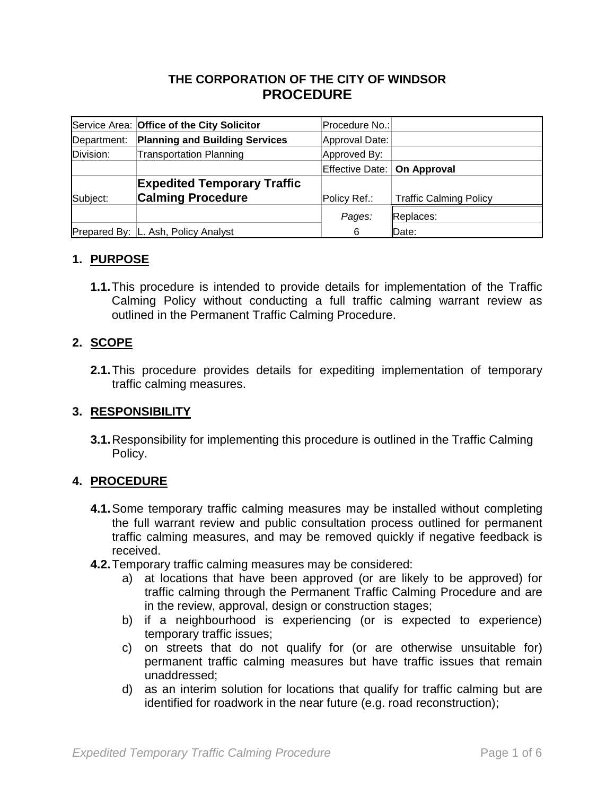### **THE CORPORATION OF THE CITY OF WINDSOR PROCEDURE**

|             | Service Area: Office of the City Solicitor | Procedure No.:                |                               |
|-------------|--------------------------------------------|-------------------------------|-------------------------------|
| Department: | <b>Planning and Building Services</b>      | Approval Date:                |                               |
| Division:   | <b>Transportation Planning</b>             | Approved By:                  |                               |
|             |                                            | Effective Date:   On Approval |                               |
|             | <b>Expedited Temporary Traffic</b>         |                               |                               |
| Subject:    | <b>Calming Procedure</b>                   | Policy Ref.:                  | <b>Traffic Calming Policy</b> |
|             |                                            | Pages:                        | Replaces:                     |
|             | Prepared By:   L. Ash, Policy Analyst      | 6                             | Date:                         |

### **1. PURPOSE**

**1.1.**This procedure is intended to provide details for implementation of the Traffic Calming Policy without conducting a full traffic calming warrant review as outlined in the Permanent Traffic Calming Procedure.

#### **2. SCOPE**

**2.1.**This procedure provides details for expediting implementation of temporary traffic calming measures.

#### **3. RESPONSIBILITY**

**3.1.**Responsibility for implementing this procedure is outlined in the Traffic Calming Policy.

#### **4. PROCEDURE**

- **4.1.**Some temporary traffic calming measures may be installed without completing the full warrant review and public consultation process outlined for permanent traffic calming measures, and may be removed quickly if negative feedback is received.
- **4.2.**Temporary traffic calming measures may be considered:
	- a) at locations that have been approved (or are likely to be approved) for traffic calming through the Permanent Traffic Calming Procedure and are in the review, approval, design or construction stages;
	- b) if a neighbourhood is experiencing (or is expected to experience) temporary traffic issues;
	- c) on streets that do not qualify for (or are otherwise unsuitable for) permanent traffic calming measures but have traffic issues that remain unaddressed;
	- d) as an interim solution for locations that qualify for traffic calming but are identified for roadwork in the near future (e.g. road reconstruction);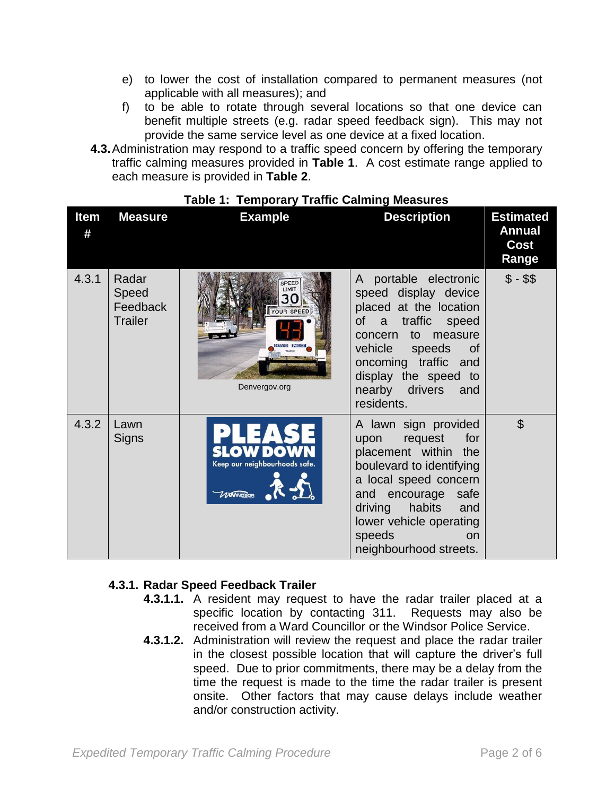- e) to lower the cost of installation compared to permanent measures (not applicable with all measures); and
- f) to be able to rotate through several locations so that one device can benefit multiple streets (e.g. radar speed feedback sign). This may not provide the same service level as one device at a fixed location.
- **4.3.**Administration may respond to a traffic speed concern by offering the temporary traffic calming measures provided in **Table 1**. A cost estimate range applied to each measure is provided in **Table 2**.

| <b>Item</b><br># | <b>Measure</b>                               | <b>Example</b>                                           | <b>Description</b>                                                                                                                                                                                                                                 | <b>Estimated</b><br><b>Annual</b><br>Cost<br>Range |
|------------------|----------------------------------------------|----------------------------------------------------------|----------------------------------------------------------------------------------------------------------------------------------------------------------------------------------------------------------------------------------------------------|----------------------------------------------------|
| 4.3.1            | Radar<br>Speed<br>Feedback<br><b>Trailer</b> | PEED<br>IMIT<br>30<br><b>YOUR SPEED</b><br>Denvergov.org | A portable electronic<br>speed display device<br>placed at the location<br>a traffic speed<br><b>of</b><br>to measure<br>concern<br>vehicle speeds<br>of<br>oncoming traffic and<br>display the speed to<br>nearby drivers and<br>residents.       | $$ - $$                                            |
| 4.3.2            | Lawn<br>Signs                                | Keep our neighbourhoods safe.<br><b>UWINDSOR</b>         | A lawn sign provided<br>upon request<br>for<br>placement within the<br>boulevard to identifying<br>a local speed concern<br>and encourage<br>safe<br>driving<br>habits<br>and<br>lower vehicle operating<br>speeds<br>on<br>neighbourhood streets. | $\mathfrak{D}$                                     |

#### **Table 1: Temporary Traffic Calming Measures**

#### **4.3.1. Radar Speed Feedback Trailer**

- **4.3.1.1.** A resident may request to have the radar trailer placed at a specific location by contacting 311. Requests may also be received from a Ward Councillor or the Windsor Police Service.
- **4.3.1.2.** Administration will review the request and place the radar trailer in the closest possible location that will capture the driver's full speed. Due to prior commitments, there may be a delay from the time the request is made to the time the radar trailer is present onsite. Other factors that may cause delays include weather and/or construction activity.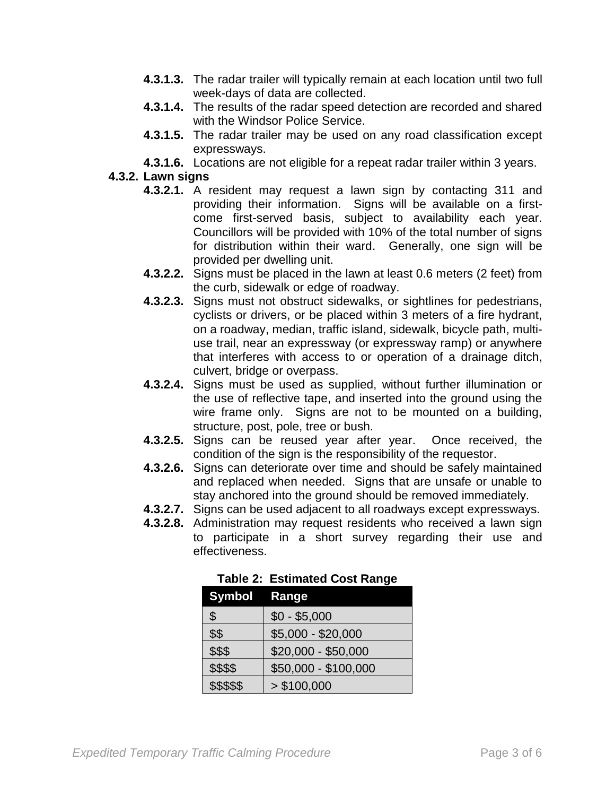- **4.3.1.3.** The radar trailer will typically remain at each location until two full week-days of data are collected.
- **4.3.1.4.** The results of the radar speed detection are recorded and shared with the Windsor Police Service.
- **4.3.1.5.** The radar trailer may be used on any road classification except expressways.
- **4.3.1.6.** Locations are not eligible for a repeat radar trailer within 3 years.

#### **4.3.2. Lawn signs**

- **4.3.2.1.** A resident may request a lawn sign by contacting 311 and providing their information. Signs will be available on a firstcome first-served basis, subject to availability each year. Councillors will be provided with 10% of the total number of signs for distribution within their ward. Generally, one sign will be provided per dwelling unit.
- **4.3.2.2.** Signs must be placed in the lawn at least 0.6 meters (2 feet) from the curb, sidewalk or edge of roadway.
- **4.3.2.3.** Signs must not obstruct sidewalks, or sightlines for pedestrians, cyclists or drivers, or be placed within 3 meters of a fire hydrant, on a roadway, median, traffic island, sidewalk, bicycle path, multiuse trail, near an expressway (or expressway ramp) or anywhere that interferes with access to or operation of a drainage ditch, culvert, bridge or overpass.
- **4.3.2.4.** Signs must be used as supplied, without further illumination or the use of reflective tape, and inserted into the ground using the wire frame only. Signs are not to be mounted on a building, structure, post, pole, tree or bush.
- **4.3.2.5.** Signs can be reused year after year. Once received, the condition of the sign is the responsibility of the requestor.
- **4.3.2.6.** Signs can deteriorate over time and should be safely maintained and replaced when needed. Signs that are unsafe or unable to stay anchored into the ground should be removed immediately.
- **4.3.2.7.** Signs can be used adjacent to all roadways except expressways.
- **4.3.2.8.** Administration may request residents who received a lawn sign to participate in a short survey regarding their use and effectiveness.

| Symbol Range |                      |
|--------------|----------------------|
| \$           | $$0 - $5,000$        |
| \$\$         | $$5,000 - $20,000$   |
| \$\$\$       | \$20,000 - \$50,000  |
| \$\$\$\$     | \$50,000 - \$100,000 |
| \$\$\$\$\$   | > \$100,000          |

**Table 2: Estimated Cost Range**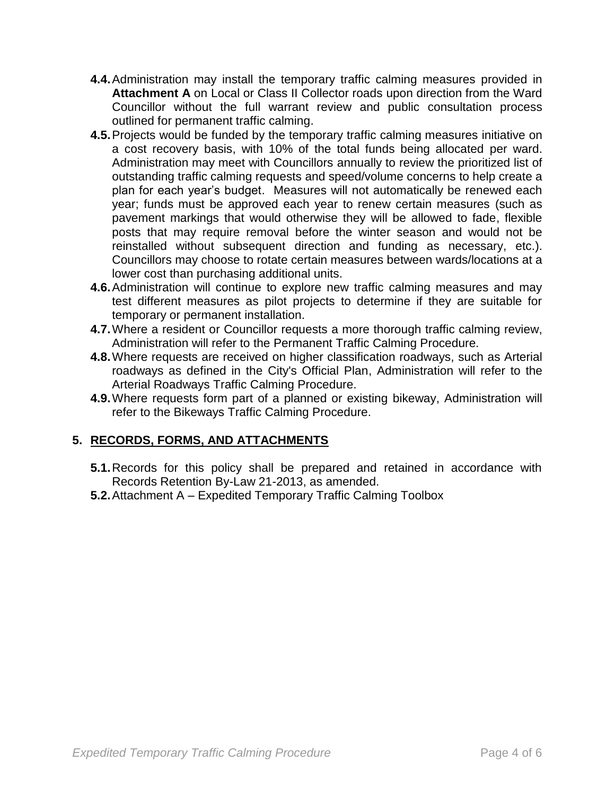- **4.4.**Administration may install the temporary traffic calming measures provided in **Attachment A** on Local or Class II Collector roads upon direction from the Ward Councillor without the full warrant review and public consultation process outlined for permanent traffic calming.
- **4.5.**Projects would be funded by the temporary traffic calming measures initiative on a cost recovery basis, with 10% of the total funds being allocated per ward. Administration may meet with Councillors annually to review the prioritized list of outstanding traffic calming requests and speed/volume concerns to help create a plan for each year's budget. Measures will not automatically be renewed each year; funds must be approved each year to renew certain measures (such as pavement markings that would otherwise they will be allowed to fade, flexible posts that may require removal before the winter season and would not be reinstalled without subsequent direction and funding as necessary, etc.). Councillors may choose to rotate certain measures between wards/locations at a lower cost than purchasing additional units.
- **4.6.**Administration will continue to explore new traffic calming measures and may test different measures as pilot projects to determine if they are suitable for temporary or permanent installation.
- **4.7.**Where a resident or Councillor requests a more thorough traffic calming review, Administration will refer to the Permanent Traffic Calming Procedure.
- **4.8.**Where requests are received on higher classification roadways, such as Arterial roadways as defined in the City's Official Plan, Administration will refer to the Arterial Roadways Traffic Calming Procedure.
- **4.9.**Where requests form part of a planned or existing bikeway, Administration will refer to the Bikeways Traffic Calming Procedure.

# **5. RECORDS, FORMS, AND ATTACHMENTS**

- **5.1.**Records for this policy shall be prepared and retained in accordance with Records Retention By-Law 21-2013, as amended.
- **5.2.**Attachment A Expedited Temporary Traffic Calming Toolbox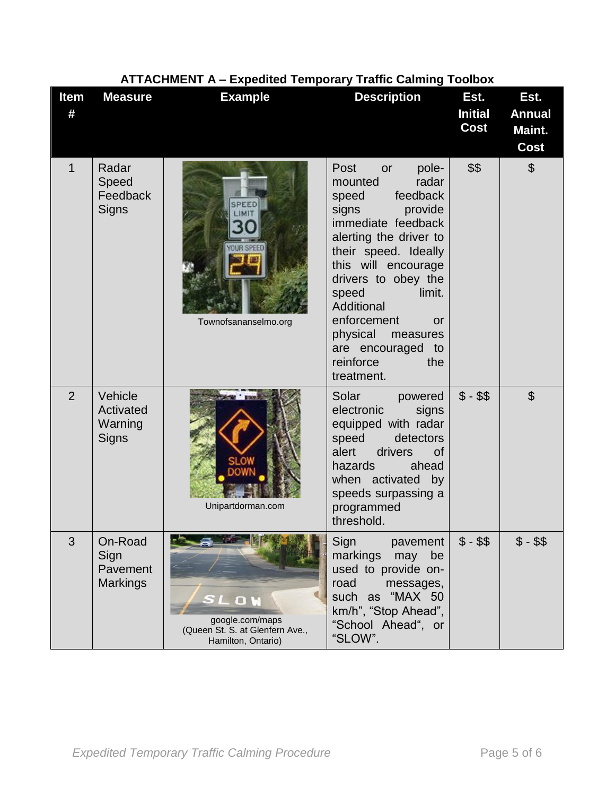| ATTACHINENT A - Expedited Temporary Traffic Calming Toolbox |                                                |                                                                                       |                                                                                                                                                                                                                                                                                                                                             |                                |                                         |
|-------------------------------------------------------------|------------------------------------------------|---------------------------------------------------------------------------------------|---------------------------------------------------------------------------------------------------------------------------------------------------------------------------------------------------------------------------------------------------------------------------------------------------------------------------------------------|--------------------------------|-----------------------------------------|
| Item<br>#                                                   | <b>Measure</b>                                 | <b>Example</b>                                                                        | <b>Description</b>                                                                                                                                                                                                                                                                                                                          | Est.<br><b>Initial</b><br>Cost | Est.<br><b>Annual</b><br>Maint.<br>Cost |
| 1                                                           | Radar<br>Speed<br>Feedback<br>Signs            | OUR SPEED<br>Townofsananselmo.org                                                     | Post<br>pole-<br>or<br>radar<br>mounted<br>feedback<br>speed<br>signs<br>provide<br>immediate feedback<br>alerting the driver to<br>their speed. Ideally<br>this will encourage<br>drivers to obey the<br>speed<br>limit.<br>Additional<br>enforcement<br>or<br>physical<br>measures<br>are encouraged to<br>reinforce<br>the<br>treatment. | \$\$                           | $\boldsymbol{\mathsf{S}}$               |
| $\overline{2}$                                              | Vehicle<br>Activated<br>Warning<br>Signs       | Unipartdorman.com                                                                     | Solar<br>powered<br>electronic<br>signs<br>equipped with radar<br>speed<br>detectors<br>alert<br>drivers<br><b>of</b><br>hazards<br>ahead<br>when activated<br>by<br>speeds surpassing a<br>programmed<br>threshold.                                                                                                                        | $$ - $$                        | $\mathfrak{S}$                          |
| 3                                                           | On-Road<br>Sign<br>Pavement<br><b>Markings</b> | <b>OW</b><br>google.com/maps<br>(Queen St. S. at Glenfern Ave.,<br>Hamilton, Ontario) | Sign<br>pavement<br>markings<br>may<br>be<br>used to provide on-<br>road<br>messages,<br>such as "MAX 50<br>km/h", "Stop Ahead",<br>"School Ahead", or<br>"SLOW".                                                                                                                                                                           | $$ - $$                        | $$ - $$                                 |

# **ATTACHMENT A – Expedited Temporary Traffic Calming Toolbox**